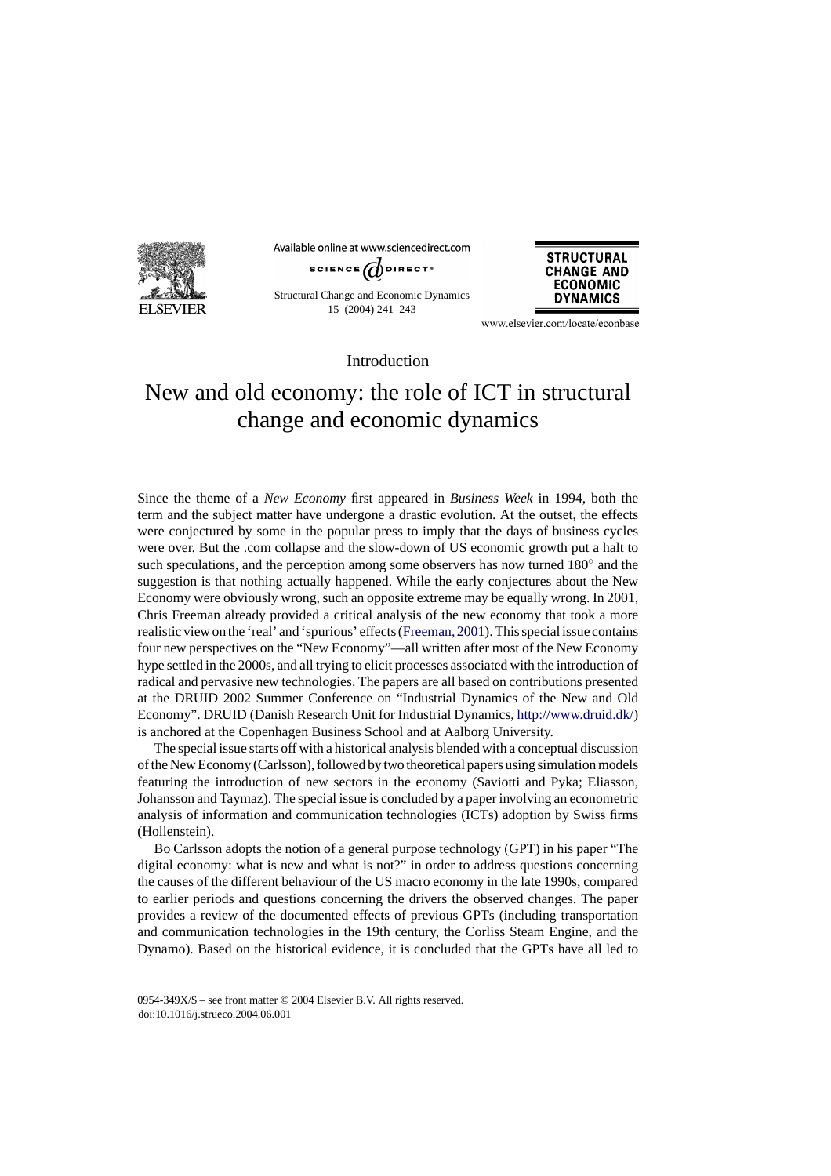

Available online at www.sciencedirect.com



Structural Change and Economic Dynamics 15 (2004) 241–243



www.elsevier.com/locate/econbase

Introduction

## New and old economy: the role of ICT in structural change and economic dynamics

Since the theme of a *New Economy* first appeared in *Business Week* in 1994, both the term and the subject matter have undergone a drastic evolution. At the outset, the effects were conjectured by some in the popular press to imply that the days of business cycles were over. But the .com collapse and the slow-down of US economic growth put a halt to such speculations, and the perception among some observers has now turned 180<sup>°</sup> and the suggestion is that nothing actually happened. While the early conjectures about the New Economy were obviously wrong, such an opposite extreme may be equally wrong. In 2001, Chris Freeman already provided a critical analysis of the new economy that took a more realistic view on the 'real' and 'spurious' effects [\(Freeman, 2001\).](#page-2-0) This special issue contains four new perspectives on the "New Economy"—all written after most of the New Economy hype settled in the 2000s, and all trying to elicit processes associated with the introduction of radical and pervasive new technologies. The papers are all based on contributions presented at the DRUID 2002 Summer Conference on "Industrial Dynamics of the New and Old Economy". DRUID (Danish Research Unit for Industrial Dynamics, [http://www.druid.dk/\)](http://www.druid.dk/) is anchored at the Copenhagen Business School and at Aalborg University.

The special issue starts off with a historical analysis blended with a conceptual discussion of the New Economy (Carlsson), followed by two theoretical papers using simulation models featuring the introduction of new sectors in the economy (Saviotti and Pyka; Eliasson, Johansson and Taymaz). The special issue is concluded by a paper involving an econometric analysis of information and communication technologies (ICTs) adoption by Swiss firms (Hollenstein).

Bo Carlsson adopts the notion of a general purpose technology (GPT) in his paper "The digital economy: what is new and what is not?" in order to address questions concerning the causes of the different behaviour of the US macro economy in the late 1990s, compared to earlier periods and questions concerning the drivers the observed changes. The paper provides a review of the documented effects of previous GPTs (including transportation and communication technologies in the 19th century, the Corliss Steam Engine, and the Dynamo). Based on the historical evidence, it is concluded that the GPTs have all led to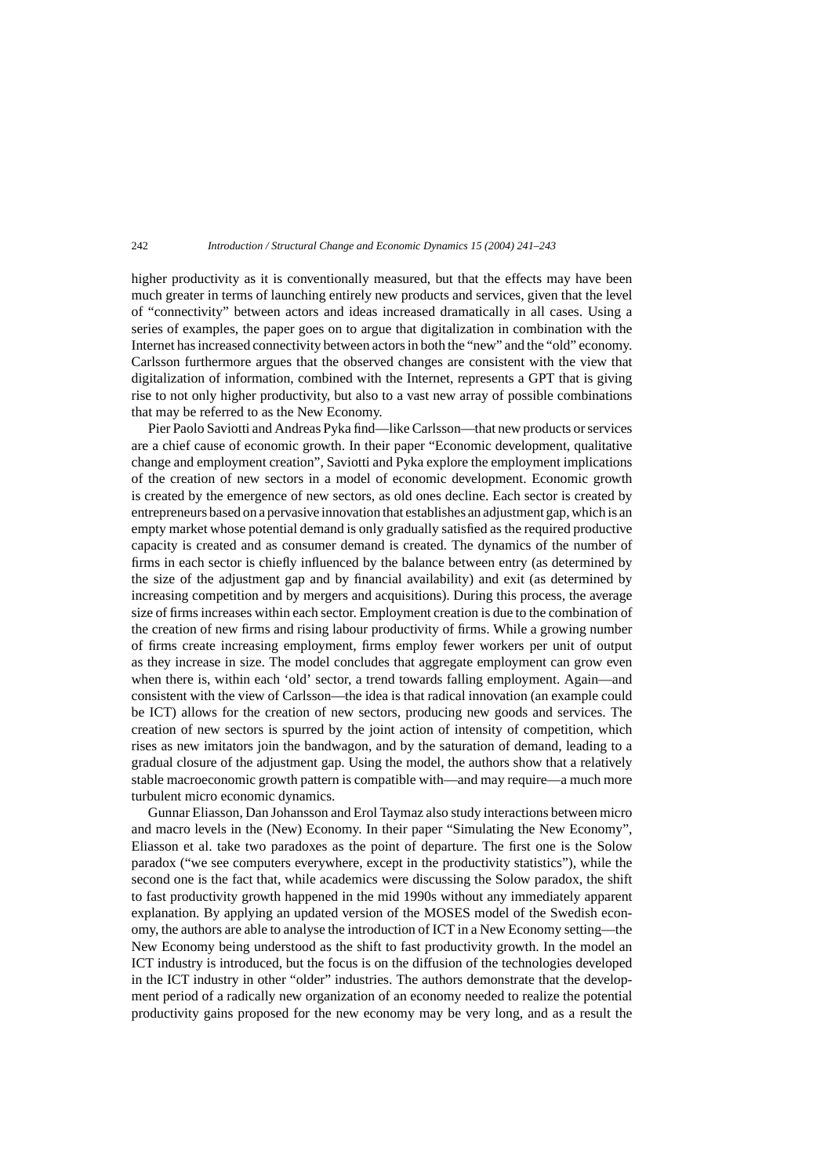higher productivity as it is conventionally measured, but that the effects may have been much greater in terms of launching entirely new products and services, given that the level of "connectivity" between actors and ideas increased dramatically in all cases. Using a series of examples, the paper goes on to argue that digitalization in combination with the Internet has increased connectivity between actors in both the "new" and the "old" economy. Carlsson furthermore argues that the observed changes are consistent with the view that digitalization of information, combined with the Internet, represents a GPT that is giving rise to not only higher productivity, but also to a vast new array of possible combinations that may be referred to as the New Economy.

Pier Paolo Saviotti and Andreas Pyka find—like Carlsson—that new products or services are a chief cause of economic growth. In their paper "Economic development, qualitative change and employment creation", Saviotti and Pyka explore the employment implications of the creation of new sectors in a model of economic development. Economic growth is created by the emergence of new sectors, as old ones decline. Each sector is created by entrepreneurs based on a pervasive innovation that establishes an adjustment gap, which is an empty market whose potential demand is only gradually satisfied as the required productive capacity is created and as consumer demand is created. The dynamics of the number of firms in each sector is chiefly influenced by the balance between entry (as determined by the size of the adjustment gap and by financial availability) and exit (as determined by increasing competition and by mergers and acquisitions). During this process, the average size of firms increases within each sector. Employment creation is due to the combination of the creation of new firms and rising labour productivity of firms. While a growing number of firms create increasing employment, firms employ fewer workers per unit of output as they increase in size. The model concludes that aggregate employment can grow even when there is, within each 'old' sector, a trend towards falling employment. Again—and consistent with the view of Carlsson—the idea is that radical innovation (an example could be ICT) allows for the creation of new sectors, producing new goods and services. The creation of new sectors is spurred by the joint action of intensity of competition, which rises as new imitators join the bandwagon, and by the saturation of demand, leading to a gradual closure of the adjustment gap. Using the model, the authors show that a relatively stable macroeconomic growth pattern is compatible with—and may require—a much more turbulent micro economic dynamics.

Gunnar Eliasson, Dan Johansson and Erol Taymaz also study interactions between micro and macro levels in the (New) Economy. In their paper "Simulating the New Economy", Eliasson et al. take two paradoxes as the point of departure. The first one is the Solow paradox ("we see computers everywhere, except in the productivity statistics"), while the second one is the fact that, while academics were discussing the Solow paradox, the shift to fast productivity growth happened in the mid 1990s without any immediately apparent explanation. By applying an updated version of the MOSES model of the Swedish economy, the authors are able to analyse the introduction of ICT in a New Economy setting—the New Economy being understood as the shift to fast productivity growth. In the model an ICT industry is introduced, but the focus is on the diffusion of the technologies developed in the ICT industry in other "older" industries. The authors demonstrate that the development period of a radically new organization of an economy needed to realize the potential productivity gains proposed for the new economy may be very long, and as a result the